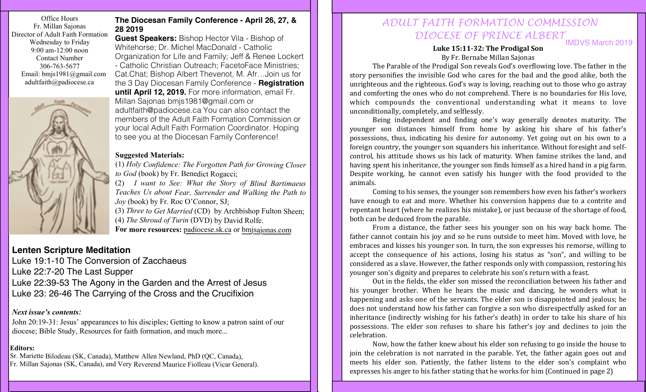Office Hours Fr. Millan Sajonas Director of Adult Faith Formation Wednesday to Friday 9:00 am-12:00 noon Contact Number 306-763-5677 Email: bmjs1981@gmail.com adultfaith@padiocese.ca



### **The Diocesan Family Conference - April 26, 27, & 28 2019**

**Guest Speakers:** Bishop Hector Vila - Bishop of Whitehorse; Dr. Michel MacDonald - Catholic Organization for Life and Family; Jeff & Renee Lockert - Catholic Christian Outreach; FacetoFace Ministries; Cat.Chat; Bishop Albert Thevenot, M. Afr…Join us for the 3 Day Diocesan Family Conference - **Registration until April 12, 2019.** For more information, email Fr. Millan Sajonas bmjs1981@gmail.com or adultfaith@padiocese.ca You can also contact the members of the Adult Faith Formation Commission or your local Adult Faith Formation Coordinator. Hoping to see you at the Diocesan Family Conference!

### **Suggested Materials:**

(1) *Holy Confidence: The Forgotten Path for Growing Closer to God* (book) by Fr. Benedict Rogacci;

(2) *I want to See: What the Story of Blind Bartimaeus Teaches Us about Fear, Surrender and Walking the Path to Joy* (book) by Fr. Roc O'Connor, SJ;

(3) *Three to Get Married* (CD) by Archbishop Fulton Sheen; (4) *The Shroud of Turin* (DVD) by David Rolfe. **For more resources:** padiocese.sk.ca or bmjsajonas.com

# **Lenten Scripture Meditation**

Luke 19:1-10 The Conversion of Zacchaeus Luke 22:7-20 The Last Supper Luke 22:39-53 The Agony in the Garden and the Arrest of Jesus Luke 23: 26-46 The Carrying of the Cross and the Crucifixion

### *Next issue's contents:*

John 20:19-31: Jesus' appearances to his disciples; Getting to know a patron saint of our diocese; Bible Study, Resources for faith formation, and much more...

### **Editors:**

Sr. Mariette Bilodeau (SK, Canada), Matthew Allen Newland, PhD (QC, Canada), Fr. Millan Sajonas (SK, Canada), and Very Reverend Maurice Fiolleau (Vicar General).

## IMDVS March 2019 *ADULT FAITH FORMATION COMMISSION DIOCESE OF PRINCE ALBERT*

Luke 15:11-32: The Prodigal Son By Fr. Bernabe Millan Sajonas

The Parable of the Prodigal Son reveals God's overflowing love. The father in the story personifies the invisible God who cares for the bad and the good alike, both the unrighteous and the righteous. God's way is loving, reaching out to those who go astray and comforting the ones who do not comprehend. There is no boundaries for His love, which compounds the conventional understanding what it means to love unconditionally, completely, and selflessly.

Being independent and finding one's way generally denotes maturity. The younger son distances himself from home by asking his share of his father's possessions, thus, indicating his desire for autonomy. Yet going out on his own to a foreign country, the younger son squanders his inheritance. Without foresight and selfcontrol, his attitude shows us his lack of maturity. When famine strikes the land, and having spent his inheritance, the younger son finds himself as a hired hand in a pig farm. Despite working, he cannot even satisfy his hunger with the food provided to the animals.

Coming to his senses, the younger son remembers how even his father's workers have enough to eat and more. Whether his conversion happens due to a contrite and repentant heart (where he realizes his mistake), or just because of the shortage of food, both can be deduced from the parable.

From a distance, the father sees his younger son on his way back home. The father cannot contain his joy and so he runs outside to meet him. Moved with love, he embraces and kisses his younger son. In turn, the son expresses his remorse, willing to accept the consequence of his actions, losing his status as "son", and willing to be considered as a slave. However, the father responds only with compassion, restoring his younger son's dignity and prepares to celebrate his son's return with a feast.

Out in the fields, the elder son missed the reconciliation between his father and his younger brother. When he hears the music and dancing, he wonders what is happening and asks one of the servants. The elder son is disappointed and jealous; he does not understand how his father can forgive a son who disrespectfully asked for an inheritance (indirectly wishing for his father's death) in order to take his share of his possessions. The elder son refuses to share his father's joy and declines to join the celebration.

Now, how the father knew about his elder son refusing to go inside the house to join the celebration is not narrated in the parable. Yet, the father again goes out and meets his elder son. Patiently, the father listens to the elder son's complaint who expresses his anger to his father stating that he works for him (Continued in page 2)